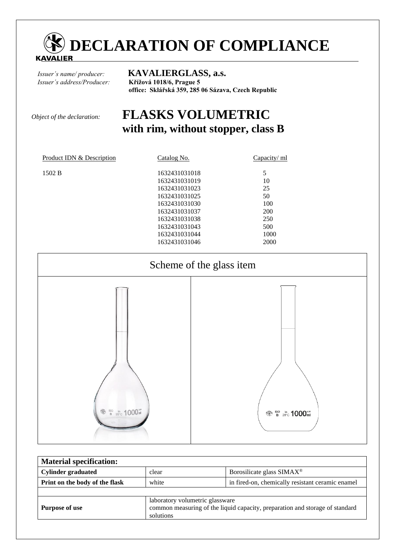

*Issuer´s address/Producer:* **Křížová 1018/6, Prague 5** 

*Issuer´s name/ producer:* **KAVALIERGLASS, a.s. office: Sklářská 359, 285 06 Sázava, Czech Republic** 

# *Object of the declaration:* **FLASKS VOLUMETRIC with rim, without stopper, class B**

| Product IDN & Description | Catalog No.   | Capacity/ ml |
|---------------------------|---------------|--------------|
| 1502 B                    | 1632431031018 | 5            |
|                           | 1632431031019 | 10           |
|                           | 1632431031023 | 25           |
|                           | 1632431031025 | 50           |
|                           | 1632431031030 | 100          |
|                           | 1632431031037 | 200          |
|                           | 1632431031038 | 250          |
|                           | 1632431031043 | 500          |
|                           | 1632431031044 | 1000         |
|                           | 1632431031046 | 2000         |
|                           |               |              |



| <b>Material specification:</b> |                                                                                                                              |                                                  |  |
|--------------------------------|------------------------------------------------------------------------------------------------------------------------------|--------------------------------------------------|--|
| <b>Cylinder graduated</b>      | clear                                                                                                                        | Borosilicate glass SIMAX <sup>®</sup>            |  |
| Print on the body of the flask | white                                                                                                                        | in fired-on, chemically resistant ceramic enamel |  |
|                                |                                                                                                                              |                                                  |  |
| <b>Purpose of use</b>          | laboratory volumetric glassware<br>common measuring of the liquid capacity, preparation and storage of standard<br>solutions |                                                  |  |